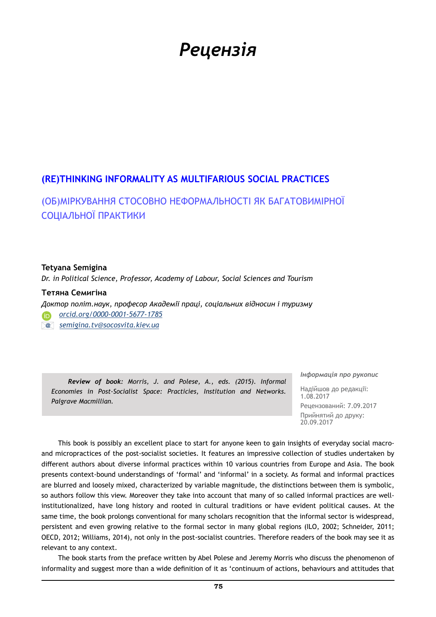# *Рецензія*

## **(RE)THINKING INFORMALITY AS MULTIFARIOUS SOCIAL PRACTICES**

(ОБ)МІРКУВАННЯ СТОСОВНО НЕФОРМАЛЬНОСТІ ЯК БАГАТОВИМІРНОЇ СОЦІАЛЬНОЇ ПРАКТИКИ

### **Tetyana Semigina**

*Dr. in Political Science, Professor, Academy of Labour, Social Sciences and Tourism*

#### **Тетяна Семигіна**

*Доктор політ.наук, професор Академії праці, соціальних відносин і туризму* 

 *[orcid.org/0000-0001-5677-1785](http://orcid.org/0000-0001-5677-1785)*

 *[semigina.tv@socosvita.kiev.ua](mailto:semigina.tv%40socosvita.kiev.ua?subject=)*

*Review of book: Morris, J. and Polese, A., eds. (2015). Informal Economies in Post-Socialist Space: Practicies, Institution and Networks. Palgrave Macmillian.*

*Інформація про рукопис*

Надійшов до редакції: 1.08.2017 Рецензований: 7.09.2017 Прийнятий до друку: 20.09.2017

This book is possibly an excellent place to start for anyone keen to gain insights of everyday social macroand micropractices of the post-socialist societies. It features an impressive collection of studies undertaken by different authors about diverse informal practices within 10 various countries from Europe and Asia. The book presents context-bound understandings of 'formal' and 'informal' in a society. As formal and informal practices are blurred and loosely mixed, characterized by variable magnitude, the distinctions between them is symbolic, so authors follow this view. Moreover they take into account that many of so called informal practices are wellinstitutionalized, have long history and rooted in cultural traditions or have evident political causes. At the same time, the book prolongs conventional for many scholars recognition that the informal sector is widespread, persistent and even growing relative to the formal sector in many global regions (ILO, 2002; Schneider, 2011; OECD, 2012; Williams, 2014), not only in the post-socialist countries. Therefore readers of the book may see it as relevant to any context.

The book starts from the preface written by Abel Polese and Jeremy Morris who discuss the phenomenon of informality and suggest more than a wide definition of it as 'continuum of actions, behaviours and attitudes that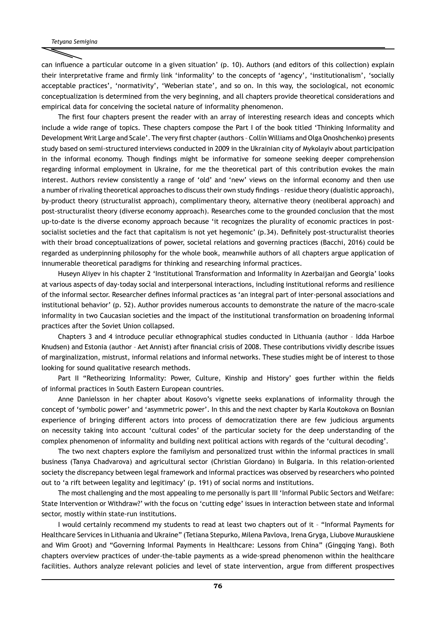can influence a particular outcome in a given situation' (p. 10). Authors (and editors of this collection) explain their interpretative frame and firmly link 'informality' to the concepts of 'agency', 'institutionalism', 'socially acceptable practices', 'normativity', 'Weberian state', and so on. In this way, the sociological, not economic conceptualization is determined from the very beginning, and all chapters provide theoretical considerations and empirical data for conceiving the societal nature of informality phenomenon.

The first four chapters present the reader with an array of interesting research ideas and concepts which include a wide range of topics. These chapters compose the Part I of the book titled 'Thinking Informality and Development Writ Large and Scale'. The very first chapter (authors – Collin Williams and Olga Onoshchenko) presents study based on semi-structured interviews conducted in 2009 in the Ukrainian city of Mykolayiv about participation in the informal economy. Though findings might be informative for someone seeking deeper comprehension regarding informal employment in Ukraine, for me the theoretical part of this contribution evokes the main interest. Authors review consistently a range of 'old' and 'new' views on the informal economy and then use a number of rivaling theoretical approaches to discuss their own study findings – residue theory (dualistic approach), by-product theory (structuralist approach), complimentary theory, alternative theory (neoliberal approach) and post-structuralist theory (diverse economy approach). Researches come to the grounded conclusion that the most up-to-date is the diverse economy approach because 'it recognizes the plurality of economic practices in postsocialist societies and the fact that capitalism is not yet hegemonic' (p.34). Definitely post-structuralist theories with their broad conceptualizations of power, societal relations and governing practices (Bacchi, 2016) could be regarded as underpinning philosophy for the whole book, meanwhile authors of all chapters argue application of innumerable theoretical paradigms for thinking and researching informal practices.

Huseyn Aliyev in his chapter 2 'Institutional Transformation and Informality in Azerbaijan and Georgia' looks at various aspects of day-today social and interpersonal interactions, including institutional reforms and resilience of the informal sector. Researcher defines informal practices as 'an integral part of inter-personal associations and institutional behavior' (p. 52). Author provides numerous accounts to demonstrate the nature of the macro-scale informality in two Caucasian societies and the impact of the institutional transformation on broadening informal practices after the Soviet Union collapsed.

Chapters 3 and 4 introduce peculiar ethnographical studies conducted in Lithuania (author – Idda Harboe Knudsen) and Estonia (author – Aet Annist) after financial crisis of 2008. These contributions vividly describe issues of marginalization, mistrust, informal relations and informal networks. These studies might be of interest to those looking for sound qualitative research methods.

Part II "Retheorizing Informality: Power, Culture, Kinship and History' goes further within the fields of informal practices in South Eastern European countries.

Anne Danielsson in her chapter about Kosovo's vignette seeks explanations of informality through the concept of 'symbolic power' and 'asymmetric power'. In this and the next chapter by Karla Koutokova on Bosnian experience of bringing different actors into process of democratization there are few judicious arguments on necessity taking into account 'cultural codes' of the particular society for the deep understanding of the complex phenomenon of informality and building next political actions with regards of the 'cultural decoding'.

The two next chapters explore the familyism and personalized trust within the informal practices in small business (Tanya Chadvarova) and agricultural sector (Christian Giordano) in Bulgaria. In this relation-oriented society the discrepancy between legal framework and informal practices was observed by researchers who pointed out to 'a rift between legality and legitimacy' (p. 191) of social norms and institutions.

The most challenging and the most appealing to me personally is part III 'Informal Public Sectors and Welfare: State Intervention or Withdraw?' with the focus on 'cutting edge' issues in interaction between state and informal sector, mostly within state-run institutions.

I would certainly recommend my students to read at least two chapters out of it – "Informal Payments for Healthcare Services in Lithuania and Ukraine" (Tetiana Stepurko, Milena Pavlova, Irena Gryga, Liubove Murauskiene and Wim Groot) and "Governing Informal Payments in Healthcare: Lessons from China" (Gingqing Yang). Both chapters overview practices of under-the-table payments as a wide-spread phenomenon within the healthcare facilities. Authors analyze relevant policies and level of state intervention, argue from different prospectives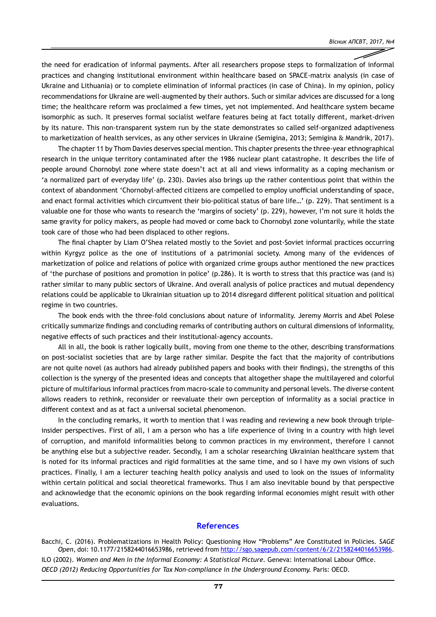the need for eradication of informal payments. After all researchers propose steps to formalization of informal practices and changing institutional environment within healthcare based on SPACE-matrix analysis (in case of Ukraine and Lithuania) or to complete elimination of informal practices (in case of China). In my opinion, policy recommendations for Ukraine are well-augmented by their authors. Such or similar advices are discussed for a long time; the healthcare reform was proclaimed a few times, yet not implemented. And healthcare system became isomorphic as such. It preserves formal socialist welfare features being at fact totally different, market-driven by its nature. This non-transparent system run by the state demonstrates so called self-organized adaptiveness to marketization of health services, as any other services in Ukraine (Semigina, 2013; Semigina & Mandrik, 2017).

The chapter 11 by Thom Davies deserves special mention. This chapter presents the three-year ethnographical research in the unique territory contaminated after the 1986 nuclear plant catastrophe. It describes the life of people around Chornobyl zone where state doesn't act at all and views informality as a coping mechanism or 'a normalized part of everyday life' (p. 230). Davies also brings up the rather contentious point that within the context of abandonment 'Chornobyl-affected citizens are compelled to employ unofficial understanding of space, and enact formal activities which circumvent their bio-political status of bare life…' (p. 229). That sentiment is a valuable one for those who wants to research the 'margins of society' (p. 229), however, I'm not sure it holds the same gravity for policy makers, as people had moved or come back to Chornobyl zone voluntarily, while the state took care of those who had been displaced to other regions.

The final chapter by Liam O'Shea related mostly to the Soviet and post-Soviet informal practices occurring within Kyrgyz police as the one of institutions of a patrimonial society. Among many of the evidences of marketization of police and relations of police with organized crime groups author mentioned the new practices of 'the purchase of positions and promotion in police' (p.286). It is worth to stress that this practice was (and is) rather similar to many public sectors of Ukraine. And overall analysis of police practices and mutual dependency relations could be applicable to Ukrainian situation up to 2014 disregard different political situation and political regime in two countries.

The book ends with the three-fold conclusions about nature of informality. Jeremy Morris and Abel Polese critically summarize findings and concluding remarks of contributing authors on cultural dimensions of informality, negative effects of such practices and their institutional-agency accounts.

All in all, the book is rather logically built, moving from one theme to the other, describing transformations on post-socialist societies that are by large rather similar. Despite the fact that the majority of contributions are not quite novel (as authors had already published papers and books with their findings), the strengths of this collection is the synergy of the presented ideas and concepts that altogether shape the multilayered and colorful picture of multifarious informal practices from macro-scale to community and personal levels. The diverse content allows readers to rethink, reconsider or reevaluate their own perception of informality as a social practice in different context and as at fact a universal societal phenomenon.

In the concluding remarks, it worth to mention that I was reading and reviewing a new book through tripleinsider perspectives. First of all, I am a person who has a life experience of living in a country with high level of corruption, and manifold informalities belong to common practices in my environment, therefore I cannot be anything else but a subjective reader. Secondly, I am a scholar researching Ukrainian healthcare system that is noted for its informal practices and rigid formalities at the same time, and so I have my own visions of such practices. Finally, I am a lecturer teaching health policy analysis and used to look on the issues of informality within certain political and social theoretical frameworks. Thus I am also inevitable bound by that perspective and acknowledge that the economic opinions on the book regarding informal economies might result with other evaluations.

#### **References**

Bacchi, C. (2016). Problematizations in Health Policy: Questioning How "Problems" Are Constituted in Policies. *SAGE Open*, doi: 10.1177/2158244016653986, retrieved from<http://sgo.sagepub.com/content/6/2/2158244016653986>. ILO (2002). *Women and Men in the Informal Economy: A Statistical Picture.* Geneva: International Labour Office. *OECD (2012) Reducing Opportunities for Tax Non-compliance in the Underground Economy.* Paris: OECD.